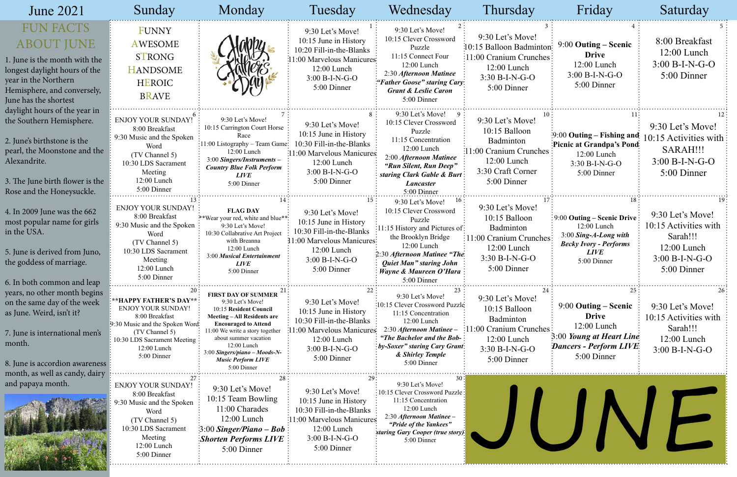| <b>June 2021</b>                                                                                                                                                                                         | Sunday                                                                                                                                                                                   | Monday                                                                                                                                                                                                                                                                                              | Tuesday                                                                                                                                                | Wednesday                                                                                                                                                                                                                                 | Thursday                                                                                                                    | Friday                                                                                                                                              | Saturday                                                                                                |
|----------------------------------------------------------------------------------------------------------------------------------------------------------------------------------------------------------|------------------------------------------------------------------------------------------------------------------------------------------------------------------------------------------|-----------------------------------------------------------------------------------------------------------------------------------------------------------------------------------------------------------------------------------------------------------------------------------------------------|--------------------------------------------------------------------------------------------------------------------------------------------------------|-------------------------------------------------------------------------------------------------------------------------------------------------------------------------------------------------------------------------------------------|-----------------------------------------------------------------------------------------------------------------------------|-----------------------------------------------------------------------------------------------------------------------------------------------------|---------------------------------------------------------------------------------------------------------|
| <b>FUN FACTS</b><br><b>ABOUT JUNE</b><br>1. June is the month with the<br>longest daylight hours of the<br>year in the Northern<br>Hemisphere, and conversely,<br>June has the shortest                  | <b>FUNNY</b><br><b>AWESOME</b><br><b>STRONG</b><br><b>HANDSOME</b><br><b>HEROIC</b><br><b>BRAVE</b>                                                                                      |                                                                                                                                                                                                                                                                                                     | 9:30 Let's Move!<br>10:15 June in History<br>10:20 Fill-in-the-Blanks<br>11:00 Marvelous Manicures:<br>12:00 Lunch<br>$3:00 B-I-N-G-O$<br>5:00 Dinner  | 9:30 Let's Move!<br>10:15 Clever Crossword<br>Puzzle<br>11:15 Connect Four<br>12:00 Lunch<br>2:30 Afternoon Matinee<br>"Father Goose" staring Cary:<br><b>Grant &amp; Leslie Caron</b><br>5:00 Dinner                                     | 9:30 Let's Move!<br>10:15 Balloon Badminton:<br>11:00 Cranium Crunches:<br>12:00 Lunch<br>$3:30 B-I-N-G-O$<br>5:00 Dinner   | $9:00$ Outing – Scenic<br><b>Drive</b><br>12:00 Lunch<br>$3:00 B-I-N-G-O$<br>5:00 Dinner                                                            | 8:00 Breakfast<br>12:00 Lunch<br>$3:00 B-I-N-G-O$<br>5:00 Dinner                                        |
| daylight hours of the year in<br>the Southern Hemisphere.<br>2. June's birthstone is the<br>pearl, the Moonstone and the<br>Alexandrite.<br>3. The June birth flower is the<br>Rose and the Honeysuckle. | <b>ENJOY YOUR SUNDAY!</b><br>8:00 Breakfast<br>9:30 Music and the Spoken<br>Word<br>(TV Channel 5)<br>10:30 LDS Sacrament<br>Meeting<br>12:00 Lunch<br>5:00 Dinner                       | 9:30 Let's Move!<br>10:15 Carrington Court Horse<br>Race<br>:11:00 Listography - Team Game:<br>12:00 Lunch<br>3:00 Singers/Instruments -<br><b>Country Blue Folk Perform</b><br><i>LIVE</i><br>5:00 Dinner                                                                                          | 9:30 Let's Move!<br>10:15 June in History<br>10:30 Fill-in-the-Blanks<br>11:00 Marvelous Manicures:<br>$12:00$ Lunch<br>3:00 B-I-N-G-O<br>5:00 Dinner  | 9:30 Let's Move!<br>10:15 Clever Crossword<br>Puzzle<br>11:15 Concentration<br>12:00 Lunch<br>2:00 Afternoon Matinee<br>"Run Silent, Run Deep"<br>staring Clark Gable & Burt<br>Lancaster<br>5:00 Dinner                                  | 9:30 Let's Move!<br>10:15 Balloon<br>Badminton<br>11:00 Cranium Crunches<br>12:00 Lunch<br>3:30 Craft Corner<br>5:00 Dinner | $\frac{1}{2}9:00$ Outing – Fishing and<br>Picnic at Grandpa's Pond<br>12:00 Lunch<br>$3:30 B-I-N-G-O$<br>5:00 Dinner                                | 9:30 Let's Move!<br>10:15 Activities with<br>SARAH!!!<br>$3:00 B-I-N-G-O$<br>5:00 Dinner                |
| 4. In 2009 June was the 662<br>most popular name for girls<br>in the USA.<br>5. June is derived from Juno,<br>the goddess of marriage.<br>6. In both common and leap                                     | <b>ENJOY YOUR SUNDAY!</b><br>8:00 Breakfast<br>9:30 Music and the Spoken<br>Word<br>(TV Channel 5)<br>10:30 LDS Sacrament<br>Meeting<br>$12:00$ Lunch<br>5:00 Dinner                     | <b>FLAG DAY</b><br>**Wear your red, white and blue**<br>9:30 Let's Move!<br>10:30 Collabrative Art Project<br>with Breanna<br>12:00 Lunch<br>3:00 Musical Entertainment<br><b>LIVE</b><br>5:00 Dinner                                                                                               | 9:30 Let's Move!<br>10:15 June in History<br>10:30 Fill-in-the-Blanks<br>11:00 Marvelous Manicures<br>12:00 Lunch<br>$3:00 B-I-N-G-O$<br>5:00 Dinner   | 9:30 Let's Move!<br>10:15 Clever Crossword<br>Puzzle<br>11:15 History and Pictures of:<br>the Brooklyn Bridge<br>12:00 Lunch<br>2:30 Afternoon Matinee "The.<br><b>Quiet Man" staring John</b><br>: Wayne & Maureen O'Hara<br>5:00 Dinner | 9:30 Let's Move!<br>10:15 Balloon<br>Badminton<br>11:00 Cranium Crunches<br>12:00 Lunch<br>$3:30 B-I-N-G-O$<br>5:00 Dinner  | $\frac{1}{2}$ 9:00 Outing – Scenic Drive<br>$12:00$ Lunch<br>$3:00$ Sing-A-Long with<br><b>Becky Ivory - Performs</b><br><b>LIVE</b><br>5:00 Dinner | 9:30 Let's Move!<br>10:15 Activities with<br>Sarah!!!<br>12:00 Lunch<br>$3:00 B-I-N-G-O$<br>5:00 Dinner |
| years, no other month begins<br>on the same day of the week<br>as June. Weird, isn't it?<br>7. June is international men's<br>month.<br>8. June is accordion awareness<br>month, as well as candy, dairy | <b>**HAPPY FATHER'S DAY**:</b><br>ENJOY YOUR SUNDAY!<br>8:00 Breakfast<br>9:30 Music and the Spoken Word-<br>(TV Channel 5)<br>10:30 LDS Sacrament Meeting<br>12:00 Lunch<br>5:00 Dinner | <b>FIRST DAY OF SUMMER</b><br>9:30 Let's Move!<br>10:15 Resident Council<br><b>Meeting-All Residents are</b><br><b>Encouraged to Attend</b><br>11:00 We write a story together<br>about summer vacation<br>12:00 Lunch<br>3:00 Singers/piano – Moods-N-<br><b>Music Perform LIVE</b><br>5:00 Dinner | 9:30 Let's Move!<br>10:15 June in History<br>10:30 Fill-in-the-Blanks<br>1:00 Marvelous Manicures<br>12:00 Lunch<br>3:00 B-I-N-G-O<br>5:00 Dinner      | 9:30 Let's Move!<br>:10:15 Clever Crossword Puzzle<br>11:15 Concentration<br>12:00 Lunch<br>2:30 Afternoon Matinee -<br>"The Bachelor and the Bob-<br>$:by-Soser$ " staring Cary Grant:<br>& Shirley Temple<br>5:00 Dinner                | 9:30 Let's Move!<br>10:15 Balloon<br>Badminton<br>1:00 Cranium Crunches<br>12:00 Lunch<br>$3:30 B-I-N-G-O$<br>5:00 Dinner   | $9:00$ Outing – Scenic<br><b>Drive</b><br>$12:00$ Lunch<br>3:00 Young at Heart Line<br>Dancers - Perform LIVE<br>5:00 Dinner                        | 9:30 Let's Move!<br>10:15 Activities with<br>Sarah!!!<br>$12:00$ Lunch<br>$3:00 B-I-N-G-O$              |
| and papaya month.                                                                                                                                                                                        | <b>ENJOY YOUR SUNDAY!</b><br>8:00 Breakfast<br>9:30 Music and the Spoken<br>Word<br>(TV Channel 5)<br>10:30 LDS Sacrament<br>Meeting<br>12:00 Lunch<br>5:00 Dinner                       | 9:30 Let's Move!<br>10:15 Team Bowling<br>11:00 Charades<br>$12:00$ Lunch<br>$\approx 3.00$ Singer/Piano – Bob:<br><b>Shorten Performs LIVE</b><br>5:00 Dinner                                                                                                                                      | 9:30 Let's Move!<br>10:15 June in History<br>10:30 Fill-in-the-Blanks<br>11:00 Marvelous Manicures<br>$12:00$ Lunch<br>$3:00 B-I-N-G-O$<br>5:00 Dinner | 9:30 Let's Move!<br>:10:15 Clever Crossword Puzzle<br>11:15 Concentration<br>12:00 Lunch<br>2:30 Afternoon Matinee -<br>"Pride of the Yankees"<br>staring Gary Cooper (true story)<br>5:00 Dinner                                         |                                                                                                                             |                                                                                                                                                     |                                                                                                         |